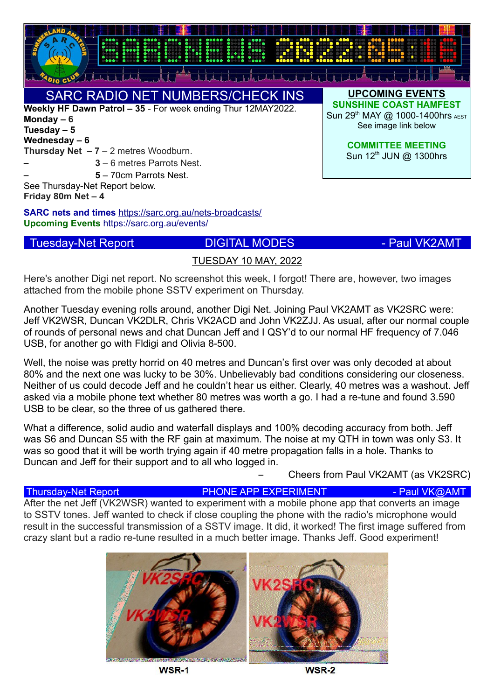

**SARC nets and times** <https://sarc.org.au/nets-broadcasts/> **Upcoming Events** <https://sarc.org.au/events/>

# Tuesday-Net Report **DIGITAL MODES CONTAL MODES**

**Friday 80m Net – 4**

## TUESDAY 10 MAY, 2022

Here's another Digi net report. No screenshot this week, I forgot! There are, however, two images attached from the mobile phone SSTV experiment on Thursday.

Another Tuesday evening rolls around, another Digi Net. Joining Paul VK2AMT as VK2SRC were: Jeff VK2WSR, Duncan VK2DLR, Chris VK2ACD and John VK2ZJJ. As usual, after our normal couple of rounds of personal news and chat Duncan Jeff and I QSY'd to our normal HF frequency of 7.046 USB, for another go with Fldigi and Olivia 8-500.

Well, the noise was pretty horrid on 40 metres and Duncan's first over was only decoded at about 80% and the next one was lucky to be 30%. Unbelievably bad conditions considering our closeness. Neither of us could decode Jeff and he couldn't hear us either. Clearly, 40 metres was a washout. Jeff asked via a mobile phone text whether 80 metres was worth a go. I had a re-tune and found 3.590 USB to be clear, so the three of us gathered there.

What a difference, solid audio and waterfall displays and 100% decoding accuracy from both. Jeff was S6 and Duncan S5 with the RF gain at maximum. The noise at my QTH in town was only S3. It was so good that it will be worth trying again if 40 metre propagation falls in a hole. Thanks to Duncan and Jeff for their support and to all who logged in.

– Cheers from Paul VK2AMT (as VK2SRC)

# Thursday-Net Report **PHONE APP EXPERIMENT** - Paul VK@AMT

After the net Jeff (VK2WSR) wanted to experiment with a mobile phone app that converts an image to SSTV tones. Jeff wanted to check if close coupling the phone with the radio's microphone would result in the successful transmission of a SSTV image. It did, it worked! The first image suffered from crazy slant but a radio re-tune resulted in a much better image. Thanks Jeff. Good experiment!



WSR-1

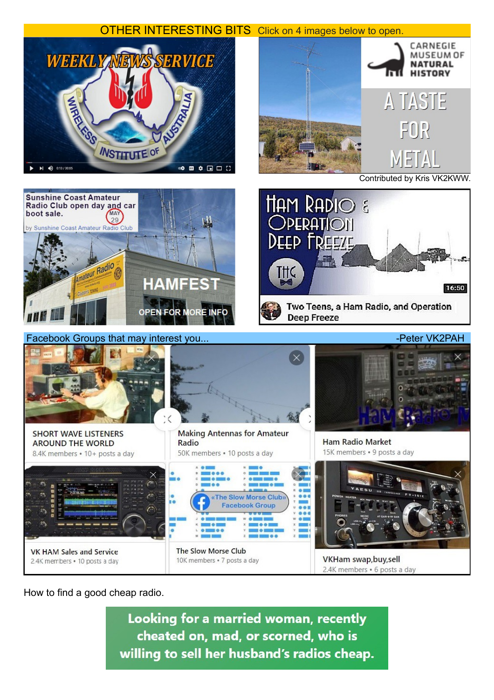

How to find a good cheap radio.

Looking for a married woman, recently cheated on, mad, or scorned, who is willing to sell her husband's radios cheap.